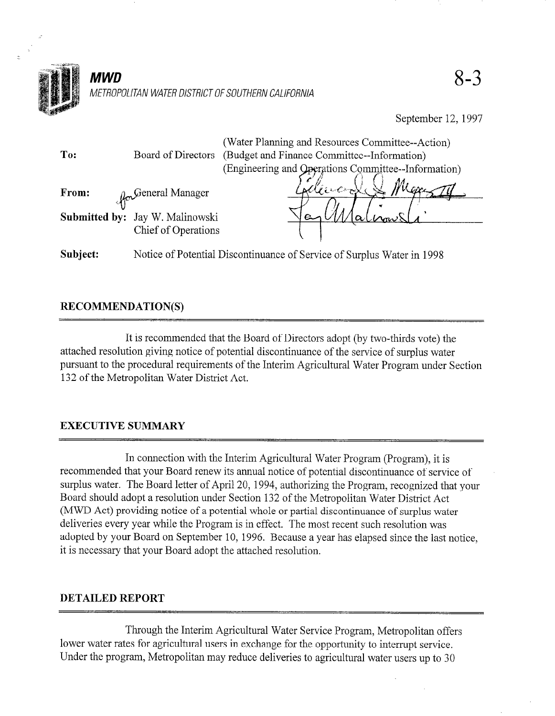

September 12, 1997

| To:      | Board of Directors                                           | (Water Planning and Resources Committee--Action)<br>(Budget and Finance Committee--Information)<br>(Engineering and Operations Committee--Information) |
|----------|--------------------------------------------------------------|--------------------------------------------------------------------------------------------------------------------------------------------------------|
| From:    | <b>Ro</b> General Manager<br>Submitted by: Jay W. Malinowski | $\mathcal{C}$ incon                                                                                                                                    |
|          | Chief of Operations                                          |                                                                                                                                                        |
| Subject: |                                                              | Notice of Potential Discontinuance of Service of Surplus Water in 1998                                                                                 |

# RECOMMENDATION(S)

It is recommended that the Board of Directors adopt (by two-thirds vote) the attached resolution giving notice of potential discontinuance of the service of surplus water pursuant to the procedural requirements of the Interim Agricultural Water Program under Section 132 of the Metropolitan Water District Act.

# EXECUTIVE SUMMARY

In connection with the Interim Agricultural Water Program (Program), it is recommended that your Board renew its annual notice of potential discontinuance of service of surplus water. The Board letter of April 20, 1994, authorizing the Program, recognized that your Board should adopt a resolution under Section 132 of the Metropolitan Water District Act (MWD Act) providing notice of a potential whole or partial discontinuance of surplus water deliveries every year while the Program is in effect. The most recent such resolution was adopted by your Board on September 10, 1996. Because a year has elapsed since the last notice, it is necessary that your Board adopt the attached resolution.

#### DETAILED REPORT

Through the Interim Agricultural Water Service Program, Metropolitan offers lower water rates for agricultural users in exchange for the opportunity to interrupt service. Under the program, Metropolitan may reduce deliveries to agricultural water users up to 30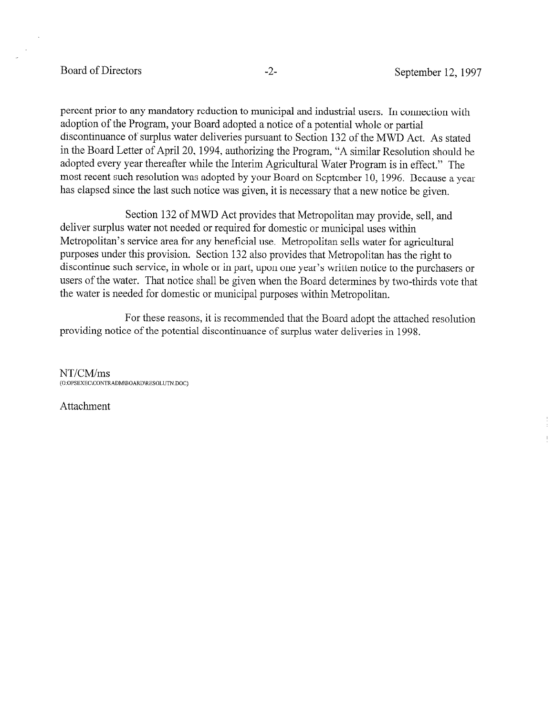### Board of Directors -2- September 12, 1997

percent prior to any mandatory reduction to municipal and industrial users. In connection with adoption of the Program, your Board adopted a notice of a potential whole or partial discontinuance of surplus water deliveries pursuant to Section 132 of the MWD Act. As stated in the Board Letter of April 20, 1994, authorizing the Program, "A similar Resolution should be adopted every year thereafter while the Interim Agricultural Water Program is in effect." The most recent such resolution was adopted by your Board on September 10, 1996. Because a year has elapsed since the last such notice was given, it is necessary that a new notice be given.

Section 132 of MWD Act provides that Metropolitan may provide, sell, and deliver surplus water not needed or required for domestic or municipal uses within Metropolitan's service area for any beneficial use. Metropolitan sells water for agricultural purposes under this provision. Section 132 also provides that Metropolitan has the right to discontinue such service, in whole or in part, upon one year's written notice to the purchasers or users of the water. That notice shall be given when the Board determines by two-thirds vote that the water is needed for domestic or municipal purposes within Metropolitan.

For these reasons, it is recommended that the Board adopt the attached resolution providing notice of the potential discontinuance of surplus water deliveries in 1998.

NT/CM/ms (~:~PSEXEC\C~NTRADM\BOARD\RESOLUTN.DOC)

Attachment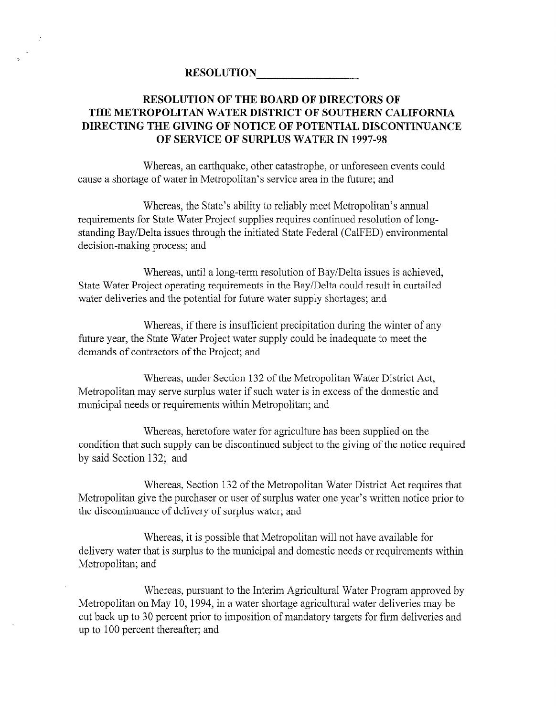## RESOLUTION OF THE BOARD OF DIRECTORS OF THE METROPOLITAN WATER DISTRICT OF SOUTHERN CALIFORNIA DIRECTING THE GIVING OF NOTICE OF POTENTIAL DISCONTINUANCE OF SERVICE OF SURPLUS WATER IN 1997-98

Whereas, an earthquake, other catastrophe, or unforeseen events could cause a shortage of water in Metropolitan's service area in the future; and

Whereas, the State's ability to reliably meet Metropolitan's annual requirements for State Water Project supplies requires continued resolution of longstanding Bay/Delta issues through the initiated State Federal (CalFED) environmental decision-making process; and

Whereas, until a long-term resolution of Bay/Delta issues is achieved, State Water Project operating requirements in the Bay/Delta could result in curtailed water deliveries and the potential for future water supply shortages; and

Whereas, if there is insufficient precipitation during the winter of any future year, the State Water Project water supply could be inadequate to meet the demands of contractors of the Project; and

Whereas, under Section 132 of the Metropolitan Water District Act, Metropolitan may serve surplus water if such water is in excess of the domestic and municipal needs or requirements within Metropolitan; and

Whereas, heretofore water for agriculture has been supplied on the whereas, heretorore water for agriculture has been supplied on the condition that such supply can be discontinued subject to the giving of the notice required<br>by said Section 132; and

Whereas, Section 132 of the Metropolitan Water District Act requires that Metropolitan give the purchaser or user of surplus water one year's written notice prior to the discontinuance of delivery of surplus water; and

Whereas, it is possible that Metropolitan will not have available for delivery water that is surplus to the municipal and domestic needs or requirements within Metropolitan; and

Whereas, pursuant to the Interim Agricultural Water Program approved by Metropolitan on May 10, 1994, in a water shortage agricultural water deliveries may be cut back up to 30 percent prior to imposition of mandatory targets for firm deliveries and up to 100 percent thereafter; and